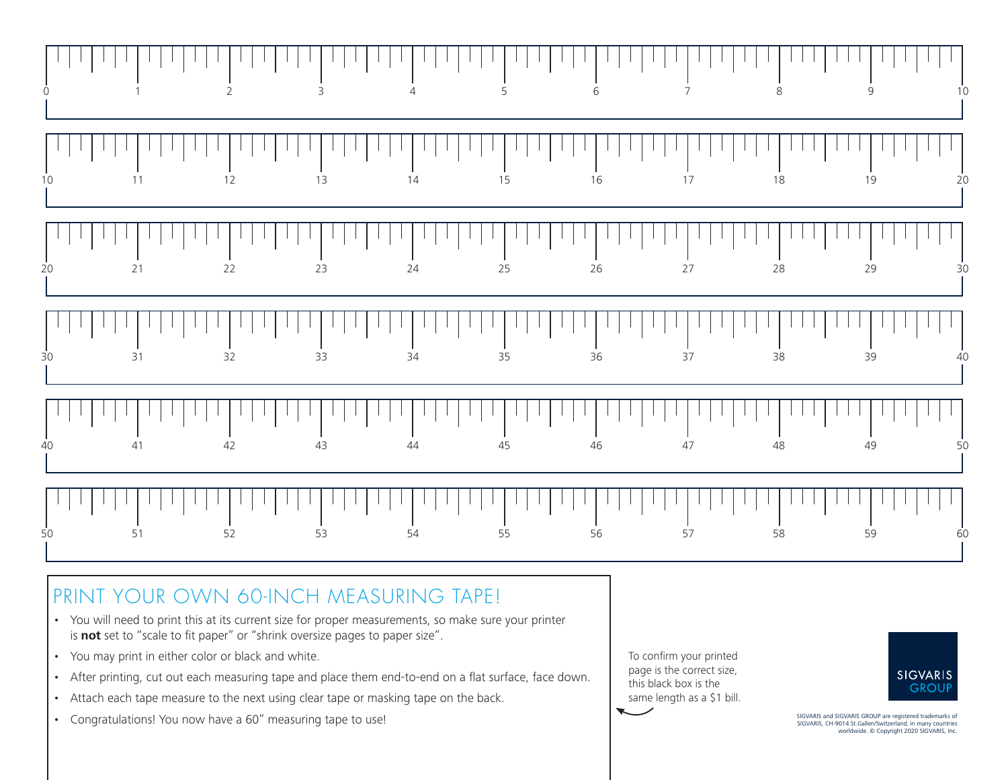

## PRINT YOUR OWN 60-INCH MEASURING TAPE!

- You will need to print this at its current size for proper measurements, so make sure your printer is **not** set to "scale to fit paper" or "shrink oversize pages to paper size".
- You may print in either color or black and white.
- After printing, cut out each measuring tape and place them end-to-end on a flat surface, face down.
- Attach each tape measure to the next using clear tape or masking tape on the back.
- Congratulations! You now have a 60" measuring tape to use!

To confirm your printed page is the correct size, this black box is the same length as a \$1 bill.



SIGVARIS and SIGVARIS GROUP are registered trademarks of SIGVARIS, CH-9014 St.Gallen/Switzerland, in many countries worldwide. © Copyright 2020 SIGVARIS, Inc.